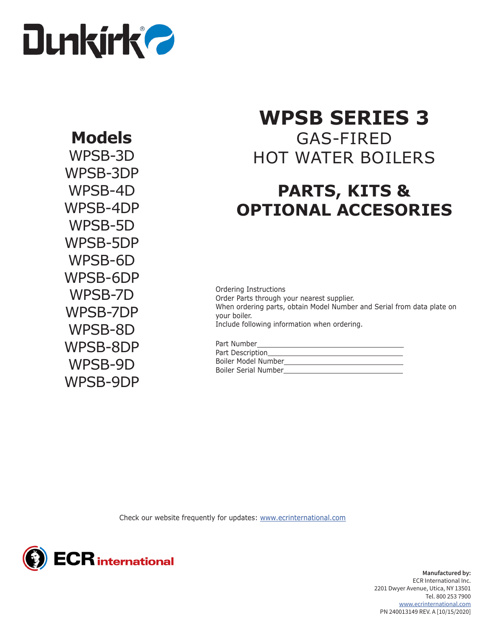

## **Models**

WPSB-3D WPSB-3DP WPSB-4D WPSB-4DP WPSB-5D WPSB-5DP WPSB-6D WPSB-6DP WPSB-7D WPSB-7DP WPSB-8D WPSB-8DP WPSB-9D WPSB-9DP

# **WPSB SERIES 3**

GAS-FIRED HOT WATER BOILERS

## **PARTS, KITS & OPTIONAL ACCESORIES**

Ordering Instructions Order Parts through your nearest supplier. When ordering parts, obtain Model Number and Serial from data plate on your boiler. Include following information when ordering.

| Part Number          |  |
|----------------------|--|
| Part Description_    |  |
| Boiler Model Number_ |  |
| Boiler Serial Number |  |

Check our website frequently for updates: [www.ecrinternational.com](http://www.ecrinternational.com)



**Manufactured by:** ECR International Inc. 2201 Dwyer Avenue, Utica, NY 13501 Tel. 800 253 7900 [www.ecrinternational.com](http://www.ecrinternational.com) PN 240013149 REV. A [10/15/2020]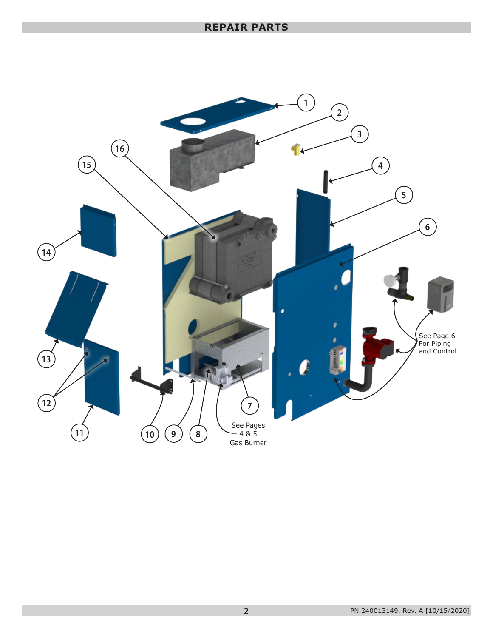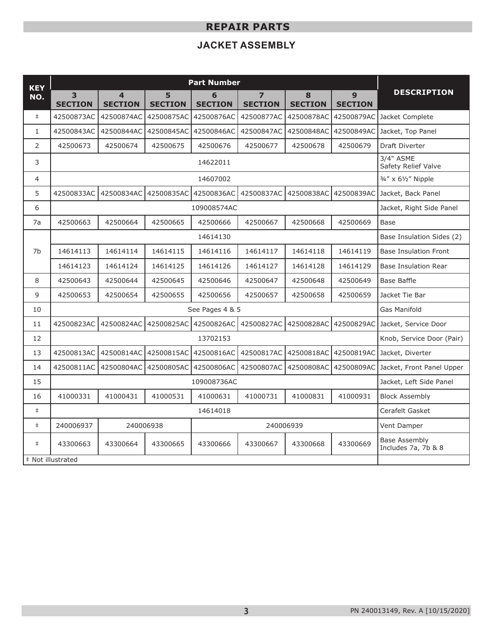## **JACKET ASSEMBLY**

| <b>KEY</b>     | <b>Part Number</b>     |                                           |                     |                     |                     |                     |                     |                                             |
|----------------|------------------------|-------------------------------------------|---------------------|---------------------|---------------------|---------------------|---------------------|---------------------------------------------|
| NO.            | 3<br><b>SECTION</b>    | $\overline{\mathbf{4}}$<br><b>SECTION</b> | 5<br><b>SECTION</b> | 6<br><b>SECTION</b> | 7<br><b>SECTION</b> | 8<br><b>SECTION</b> | 9<br><b>SECTION</b> | <b>DESCRIPTION</b>                          |
| $\ddagger$     | 42500873AC             | 42500874AC                                | 42500875AC          | 42500876AC          | 42500877AC          | 42500878AC          |                     | 42500879AC Jacket Complete                  |
| $\mathbf{1}$   | 42500843AC             | 42500844AC                                | 42500845AC          | 42500846AC          | 42500847AC          | 42500848AC          |                     | 42500849AC Jacket, Top Panel                |
| $\overline{2}$ | 42500673               | 42500674                                  | 42500675            | 42500676            | 42500677            | 42500678            | 42500679            | <b>Draft Diverter</b>                       |
| 3              |                        | 3/4" ASME<br>Safety Relief Valve          |                     |                     |                     |                     |                     |                                             |
| 4              |                        |                                           |                     | 14607002            |                     |                     |                     | 3/4" x 61/2" Nipple                         |
| 5              | 42500833AC             | 42500834AC                                | 42500835AC          | 42500836AC          | 42500837AC          | 42500838AC          | 42500839AC          | Jacket, Back Panel                          |
| 6              |                        |                                           |                     | 109008574AC         |                     |                     |                     | Jacket, Right Side Panel                    |
| 7a             | 42500663               | 42500664                                  | 42500665            | 42500666            | 42500667            | 42500668            | 42500669            | Base                                        |
|                | 14614130               |                                           |                     |                     |                     |                     |                     | Base Insulation Sides (2)                   |
| 7b             | 14614113               | 14614114                                  | 14614115            | 14614116            | 14614117            | 14614118            | 14614119            | <b>Base Insulation Front</b>                |
|                | 14614123               | 14614124                                  | 14614125            | 14614126            | 14614127            | 14614128            | 14614129            | <b>Base Insulation Rear</b>                 |
| 8              | 42500643               | 42500644                                  | 42500645            | 42500646            | 42500647            | 42500648            | 42500649            | Base Baffle                                 |
| 9              | 42500653               | 42500654                                  | 42500655            | 42500656            | 42500657            | 42500658            | 42500659            | Jacket Tie Bar                              |
| 10             | See Pages 4 & 5        |                                           |                     |                     |                     |                     |                     | Gas Manifold                                |
| 11             | 42500823AC             | 42500824AC                                | 42500825AC          | 42500826AC          | 42500827AC          | 42500828AC          | 42500829AC          | Jacket, Service Door                        |
| 12             | 13702153               |                                           |                     |                     |                     |                     |                     | Knob, Service Door (Pair)                   |
| 13             | 42500813AC             | 42500814AC                                | 42500815AC          | 42500816AC          | 42500817AC          | 42500818AC          | 42500819AC          | Jacket, Diverter                            |
| 14             | 42500811AC             | 42500804AC                                | 42500805AC          | 42500806AC          | 42500807AC          | 42500808AC          | 42500809AC          | Jacket, Front Panel Upper                   |
| 15             | 109008736AC            |                                           |                     |                     |                     |                     |                     | Jacket, Left Side Panel                     |
| 16             | 41000331               | 41000431                                  | 41000531            | 41000631            | 41000731            | 41000831            | 41000931            | <b>Block Assembly</b>                       |
| $\ddagger$     | 14614018               |                                           |                     |                     |                     |                     |                     | Cerafelt Gasket                             |
| $\ddagger$     | 240006937<br>240006938 |                                           |                     | 240006939           |                     |                     | Vent Damper         |                                             |
| $\ddagger$     | 43300663               | 43300664                                  | 43300665            | 43300666            | 43300667            | 43300668            | 43300669            | <b>Base Assembly</b><br>Includes 7a, 7b & 8 |
|                | # Not illustrated      |                                           |                     |                     |                     |                     |                     |                                             |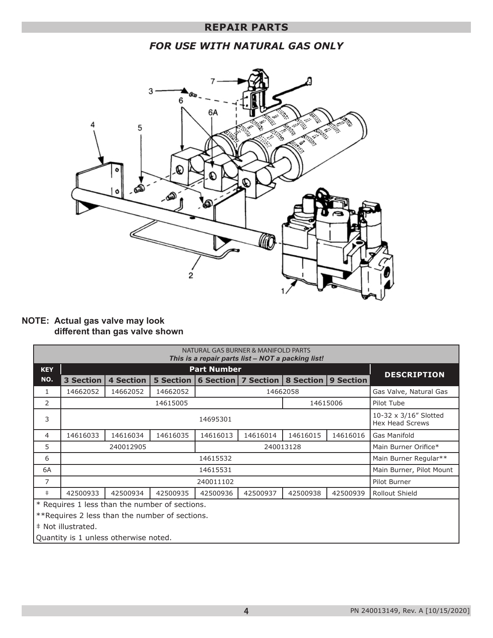## *FOR USE WITH NATURAL GAS ONLY*



#### **NOTE: Actual gas valve may look different than gas valve shown**

| NATURAL GAS BURNER & MANIFOLD PARTS<br>This is a repair parts list – NOT a packing list! |                        |                    |                  |           |             |                  |                                                 |                        |
|------------------------------------------------------------------------------------------|------------------------|--------------------|------------------|-----------|-------------|------------------|-------------------------------------------------|------------------------|
| <b>KEY</b>                                                                               |                        | <b>DESCRIPTION</b> |                  |           |             |                  |                                                 |                        |
| NO.                                                                                      | <b>3 Section</b>       | <b>4 Section</b>   | <b>5 Section</b> | 6 Section | 7 Section I | <b>8 Section</b> | 9 Section                                       |                        |
| $\mathbf{1}$                                                                             | 14662052               | 14662052           | 14662052         |           |             | 14662058         |                                                 | Gas Valve, Natural Gas |
| 2                                                                                        | 14615005<br>14615006   |                    |                  |           |             |                  | Pilot Tube                                      |                        |
| 3                                                                                        | 14695301               |                    |                  |           |             |                  | 10-32 x 3/16" Slotted<br><b>Hex Head Screws</b> |                        |
| 4                                                                                        | 14616033               | 14616034           | 14616035         | 14616013  | 14616014    | 14616015         | 14616016                                        | Gas Manifold           |
| 5                                                                                        | 240012905<br>240013128 |                    |                  |           |             |                  | Main Burner Orifice*                            |                        |
| 6                                                                                        | 14615532               |                    |                  |           |             |                  |                                                 | Main Burner Regular**  |
| 6A                                                                                       | 14615531               |                    |                  |           |             |                  | Main Burner, Pilot Mount                        |                        |
| $\overline{7}$                                                                           | 240011102              |                    |                  |           |             |                  | Pilot Burner                                    |                        |
| $\pm$                                                                                    | 42500933               | 42500934           | 42500935         | 42500936  | 42500937    | 42500938         | 42500939                                        | Rollout Shield         |
| * Requires 1 less than the number of sections.                                           |                        |                    |                  |           |             |                  |                                                 |                        |
| ** Requires 2 less than the number of sections.                                          |                        |                    |                  |           |             |                  |                                                 |                        |
| # Not illustrated.                                                                       |                        |                    |                  |           |             |                  |                                                 |                        |

Quantity is 1 unless otherwise noted.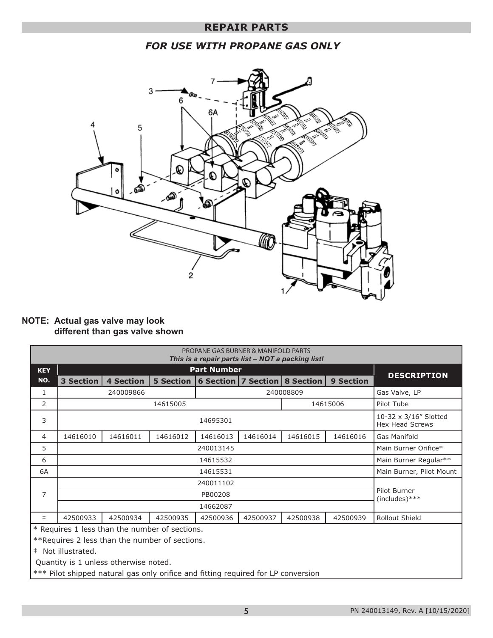## *FOR USE WITH PROPANE GAS ONLY*



#### **NOTE: Actual gas valve may look different than gas valve shown**

| PROPANE GAS BURNER & MANIFOLD PARTS<br>This is a repair parts list - NOT a packing list! |                  |                                  |                      |          |                                   |           |                  |                                                 |
|------------------------------------------------------------------------------------------|------------------|----------------------------------|----------------------|----------|-----------------------------------|-----------|------------------|-------------------------------------------------|
| <b>KEY</b>                                                                               |                  |                                  |                      |          |                                   |           |                  |                                                 |
| NO.                                                                                      | <b>3 Section</b> | <b>4 Section</b>                 | <b>5 Section</b>     |          | 6 Section   7 Section   8 Section |           | <b>9 Section</b> | <b>DESCRIPTION</b>                              |
| $\mathbf{1}$                                                                             |                  | 240009866                        |                      |          |                                   | 240008809 |                  | Gas Valve, LP                                   |
| 2                                                                                        |                  |                                  | 14615005             |          |                                   |           | 14615006         | Pilot Tube                                      |
| 3                                                                                        | 14695301         |                                  |                      |          |                                   |           |                  | 10-32 x 3/16" Slotted<br><b>Hex Head Screws</b> |
| $\overline{4}$                                                                           | 14616010         | 14616011                         | 14616012             | 14616013 | 14616014                          | 14616015  | 14616016         | <b>Gas Manifold</b>                             |
| 5                                                                                        |                  |                                  | Main Burner Orifice* |          |                                   |           |                  |                                                 |
| 6                                                                                        | 14615532         |                                  |                      |          |                                   |           |                  | Main Burner Regular**                           |
| 6A                                                                                       | 14615531         |                                  |                      |          |                                   |           |                  | Main Burner, Pilot Mount                        |
|                                                                                          | 240011102        |                                  |                      |          |                                   |           |                  |                                                 |
| $\overline{7}$                                                                           |                  | Pilot Burner<br>$(includes)$ *** |                      |          |                                   |           |                  |                                                 |
|                                                                                          | 14662087         |                                  |                      |          |                                   |           |                  |                                                 |
| $\ddagger$                                                                               | 42500933         | 42500934                         | 42500935             | 42500936 | 42500937                          | 42500938  | 42500939         | Rollout Shield                                  |
| * Requires 1 less than the number of sections.                                           |                  |                                  |                      |          |                                   |           |                  |                                                 |
| ** Requires 2 less than the number of sections.                                          |                  |                                  |                      |          |                                   |           |                  |                                                 |
| # Not illustrated.                                                                       |                  |                                  |                      |          |                                   |           |                  |                                                 |
| Quantity is 1 unless otherwise noted.                                                    |                  |                                  |                      |          |                                   |           |                  |                                                 |
| *** Pilot shipped natural gas only orifice and fitting required for LP conversion        |                  |                                  |                      |          |                                   |           |                  |                                                 |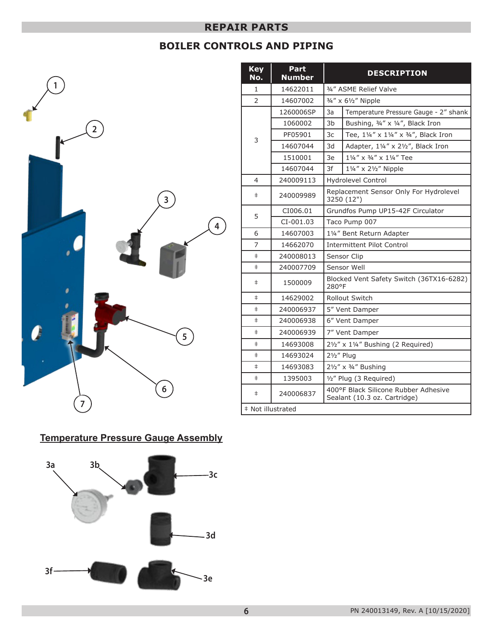## **BOILER CONTROLS AND PIPING**



| <b>Key</b><br>No. | Part<br><b>Number</b> | <b>DESCRIPTION</b>                                                   |                                                      |  |  |  |
|-------------------|-----------------------|----------------------------------------------------------------------|------------------------------------------------------|--|--|--|
| 1                 | 14622011              | 3/4" ASME Relief Valve                                               |                                                      |  |  |  |
| $\overline{2}$    | 14607002              |                                                                      | 3/4" x 61/2" Nipple                                  |  |  |  |
|                   | 1260006SP             | 3a                                                                   | Temperature Pressure Gauge - 2" shank                |  |  |  |
|                   | 1060002               | 3 <sub>b</sub>                                                       | Bushing, 3/4" x 1/4", Black Iron                     |  |  |  |
| 3                 | PF05901               | 3c                                                                   | Tee, 11/4" x 11/4" x 3/4", Black Iron                |  |  |  |
|                   | 14607044              | 3d                                                                   | Adapter, 11/4" x 21/2", Black Iron                   |  |  |  |
|                   | 1510001               | 3e                                                                   | 11/4" x 3/4" x 11/4" Tee                             |  |  |  |
|                   | 14607044              | 3f                                                                   | 11/4" x 21/2" Nipple                                 |  |  |  |
| 4                 | 240009113             |                                                                      | <b>Hydrolevel Control</b>                            |  |  |  |
| $\ddagger$        | 240009989             |                                                                      | Replacement Sensor Only For Hydrolevel<br>3250 (12") |  |  |  |
|                   | CI006.01              |                                                                      | Grundfos Pump UP15-42F Circulator                    |  |  |  |
| 5                 | CI-001.03             |                                                                      | Taco Pump 007                                        |  |  |  |
| 6                 | 14607003              | 11/4" Bent Return Adapter                                            |                                                      |  |  |  |
| $\overline{7}$    | 14662070              |                                                                      | <b>Intermittent Pilot Control</b>                    |  |  |  |
| $\ddagger$        | 240008013             |                                                                      | Sensor Clip                                          |  |  |  |
| $\ddagger$        | 240007709             |                                                                      | Sensor Well                                          |  |  |  |
| $\ddagger$        | 1500009               | Blocked Vent Safety Switch (36TX16-6282)<br>280°F                    |                                                      |  |  |  |
| $\pm$             | 14629002              | <b>Rollout Switch</b>                                                |                                                      |  |  |  |
| $\ddagger$        | 240006937             |                                                                      | 5" Vent Damper                                       |  |  |  |
| $\ddagger$        | 240006938             | 6" Vent Damper                                                       |                                                      |  |  |  |
| $\pm$             | 240006939             | 7" Vent Damper                                                       |                                                      |  |  |  |
| $\ddagger$        | 14693008              | 21/2" x 11/4" Bushing (2 Required)                                   |                                                      |  |  |  |
| $\ddagger$        | 14693024              | $2\frac{1}{2}$ " Plug                                                |                                                      |  |  |  |
| $\ddagger$        | 14693083              | 21/2" x 3/4" Bushing                                                 |                                                      |  |  |  |
| $\pm$             | 1395003               | 1/2" Plug (3 Required)                                               |                                                      |  |  |  |
| $\ddagger$        | 240006837             | 400°F Black Silicone Rubber Adhesive<br>Sealant (10.3 oz. Cartridge) |                                                      |  |  |  |
| # Not illustrated |                       |                                                                      |                                                      |  |  |  |

## **Temperature Pressure Gauge Assembly**

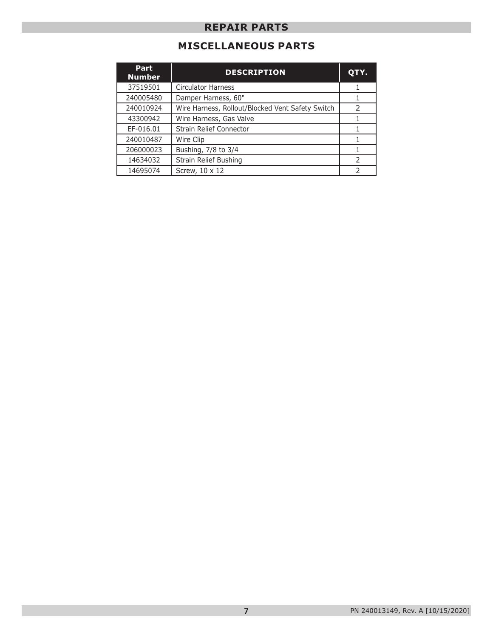## **MISCELLANEOUS PARTS**

| Part<br><b>Number</b> | <b>DESCRIPTION</b>                               | QTY.          |
|-----------------------|--------------------------------------------------|---------------|
| 37519501              | <b>Circulator Harness</b>                        |               |
| 240005480             | Damper Harness, 60"                              |               |
| 240010924             | Wire Harness, Rollout/Blocked Vent Safety Switch | $\mathcal{P}$ |
| 43300942              | Wire Harness, Gas Valve                          |               |
| EF-016.01             | Strain Relief Connector                          |               |
| 240010487             | Wire Clip                                        |               |
| 206000023             | Bushing, 7/8 to 3/4                              |               |
| 14634032              | Strain Relief Bushing                            | $\mathcal{P}$ |
| 14695074              | Screw, 10 x 12                                   |               |